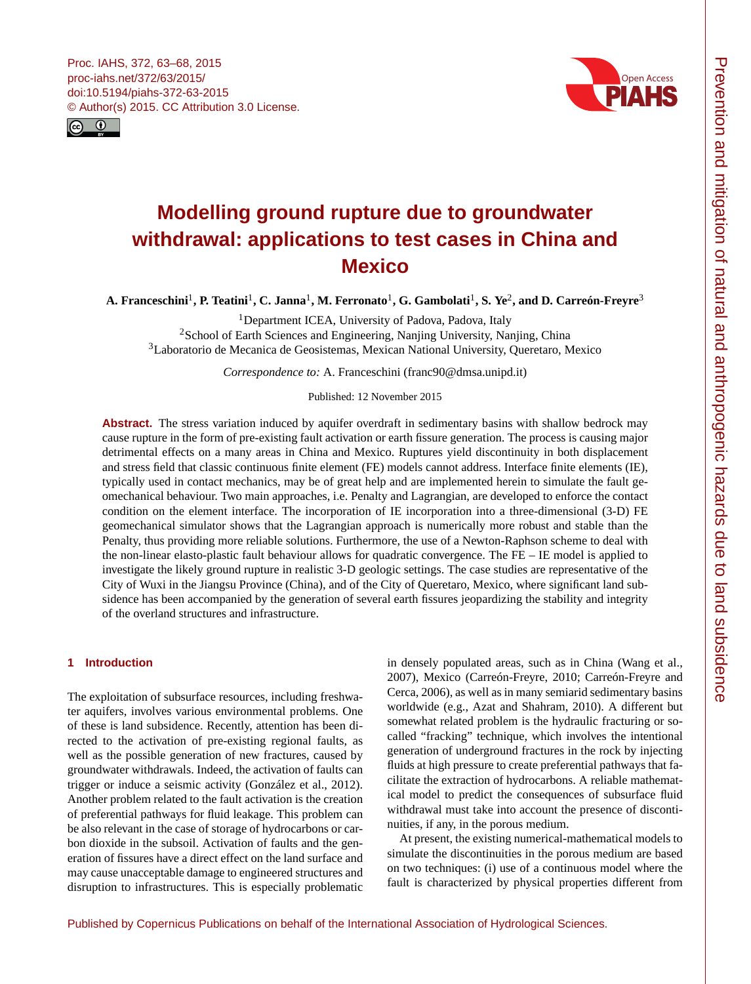<span id="page-0-1"></span>



# **Modelling ground rupture due to groundwater withdrawal: applications to test cases in China and Mexico**

**A. Franceschini**[1](#page-0-0) **, P. Teatini**[1](#page-0-0) **, C. Janna**[1](#page-0-0) **, M. Ferronato**[1](#page-0-0) **, G. Gambolati**[1](#page-0-0) **, S. Ye**[2](#page-0-0) **, and D. Carreón-Freyre**[3](#page-0-0)

<sup>1</sup>Department ICEA, University of Padova, Padova, Italy

<sup>2</sup>School of Earth Sciences and Engineering, Nanjing University, Nanjing, China <sup>3</sup>Laboratorio de Mecanica de Geosistemas, Mexican National University, Queretaro, Mexico

*Correspondence to:* A. Franceschini (franc90@dmsa.unipd.it)

Published: 12 November 2015

**Abstract.** The stress variation induced by aquifer overdraft in sedimentary basins with shallow bedrock may cause rupture in the form of pre-existing fault activation or earth fissure generation. The process is causing major detrimental effects on a many areas in China and Mexico. Ruptures yield discontinuity in both displacement and stress field that classic continuous finite element (FE) models cannot address. Interface finite elements (IE), typically used in contact mechanics, may be of great help and are implemented herein to simulate the fault geomechanical behaviour. Two main approaches, i.e. Penalty and Lagrangian, are developed to enforce the contact condition on the element interface. The incorporation of IE incorporation into a three-dimensional (3-D) FE geomechanical simulator shows that the Lagrangian approach is numerically more robust and stable than the Penalty, thus providing more reliable solutions. Furthermore, the use of a Newton-Raphson scheme to deal with the non-linear elasto-plastic fault behaviour allows for quadratic convergence. The FE – IE model is applied to investigate the likely ground rupture in realistic 3-D geologic settings. The case studies are representative of the City of Wuxi in the Jiangsu Province (China), and of the City of Queretaro, Mexico, where significant land subsidence has been accompanied by the generation of several earth fissures jeopardizing the stability and integrity of the overland structures and infrastructure.

## <span id="page-0-0"></span>**1 Introduction**

The exploitation of subsurface resources, including freshwater aquifers, involves various environmental problems. One of these is land subsidence. Recently, attention has been directed to the activation of pre-existing regional faults, as well as the possible generation of new fractures, caused by groundwater withdrawals. Indeed, the activation of faults can trigger or induce a seismic activity (González et al., 2012). Another problem related to the fault activation is the creation of preferential pathways for fluid leakage. This problem can be also relevant in the case of storage of hydrocarbons or carbon dioxide in the subsoil. Activation of faults and the generation of fissures have a direct effect on the land surface and may cause unacceptable damage to engineered structures and disruption to infrastructures. This is especially problematic

in densely populated areas, such as in China (Wang et al., 2007), Mexico (Carreón-Freyre, 2010; Carreón-Freyre and Cerca, 2006), as well as in many semiarid sedimentary basins worldwide (e.g., Azat and Shahram, 2010). A different but somewhat related problem is the hydraulic fracturing or socalled "fracking" technique, which involves the intentional generation of underground fractures in the rock by injecting fluids at high pressure to create preferential pathways that facilitate the extraction of hydrocarbons. A reliable mathematical model to predict the consequences of subsurface fluid withdrawal must take into account the presence of discontinuities, if any, in the porous medium.

At present, the existing numerical-mathematical models to simulate the discontinuities in the porous medium are based on two techniques: (i) use of a continuous model where the fault is characterized by physical properties different from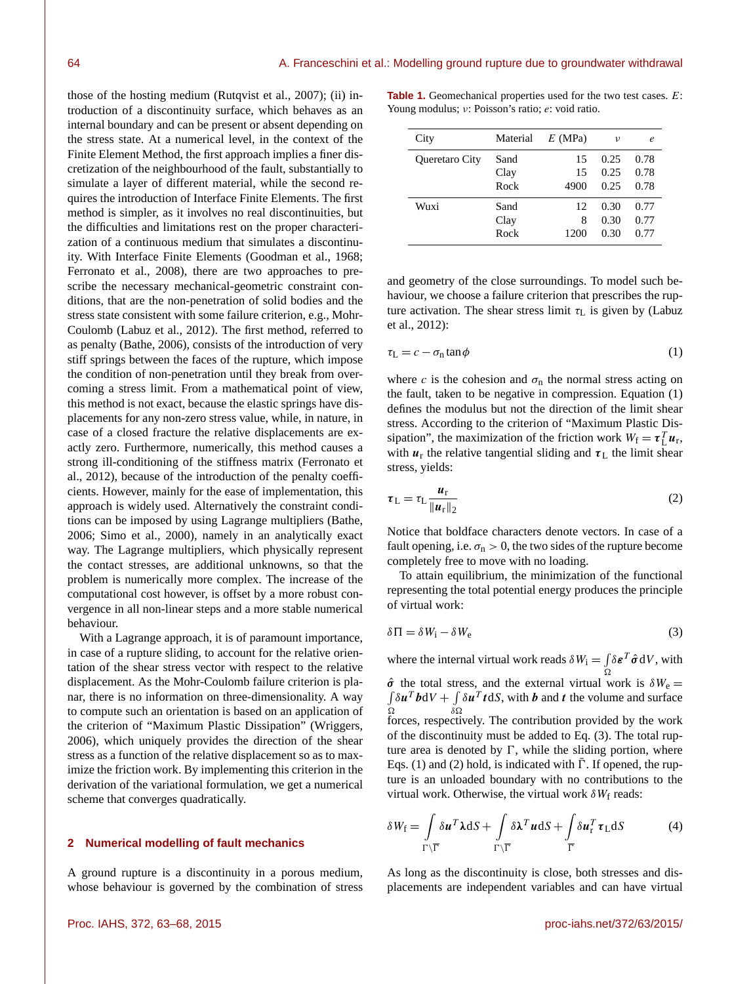those of the hosting medium (Rutqvist et al., 2007); (ii) introduction of a discontinuity surface, which behaves as an internal boundary and can be present or absent depending on the stress state. At a numerical level, in the context of the Finite Element Method, the first approach implies a finer discretization of the neighbourhood of the fault, substantially to simulate a layer of different material, while the second requires the introduction of Interface Finite Elements. The first method is simpler, as it involves no real discontinuities, but the difficulties and limitations rest on the proper characterization of a continuous medium that simulates a discontinuity. With Interface Finite Elements (Goodman et al., 1968; Ferronato et al., 2008), there are two approaches to prescribe the necessary mechanical-geometric constraint conditions, that are the non-penetration of solid bodies and the stress state consistent with some failure criterion, e.g., Mohr-Coulomb (Labuz et al., 2012). The first method, referred to as penalty (Bathe, 2006), consists of the introduction of very stiff springs between the faces of the rupture, which impose the condition of non-penetration until they break from overcoming a stress limit. From a mathematical point of view, this method is not exact, because the elastic springs have displacements for any non-zero stress value, while, in nature, in case of a closed fracture the relative displacements are exactly zero. Furthermore, numerically, this method causes a strong ill-conditioning of the stiffness matrix (Ferronato et al., 2012), because of the introduction of the penalty coefficients. However, mainly for the ease of implementation, this approach is widely used. Alternatively the constraint conditions can be imposed by using Lagrange multipliers (Bathe, 2006; Simo et al., 2000), namely in an analytically exact way. The Lagrange multipliers, which physically represent the contact stresses, are additional unknowns, so that the problem is numerically more complex. The increase of the computational cost however, is offset by a more robust convergence in all non-linear steps and a more stable numerical behaviour.

With a Lagrange approach, it is of paramount importance, in case of a rupture sliding, to account for the relative orientation of the shear stress vector with respect to the relative displacement. As the Mohr-Coulomb failure criterion is planar, there is no information on three-dimensionality. A way to compute such an orientation is based on an application of the criterion of "Maximum Plastic Dissipation" (Wriggers, 2006), which uniquely provides the direction of the shear stress as a function of the relative displacement so as to maximize the friction work. By implementing this criterion in the derivation of the variational formulation, we get a numerical scheme that converges quadratically.

#### **2 Numerical modelling of fault mechanics**

A ground rupture is a discontinuity in a porous medium, whose behaviour is governed by the combination of stress

**Table 1.** Geomechanical properties used for the two test cases. E: Young modulus; ν: Poisson's ratio; e: void ratio.

| City                  | Material | $E$ (MPa) | ν    | e    |
|-----------------------|----------|-----------|------|------|
| <b>Oueretaro City</b> | Sand     | 15        | 0.25 | 0.78 |
|                       | Clay     | 15        | 0.25 | 0.78 |
|                       | Rock     | 4900      | 0.25 | 0.78 |
| Wuxi                  | Sand     | 12        | 0.30 | 0.77 |
|                       | Clay     | 8         | 0.30 | 0.77 |
|                       | Rock     | 1200      | 0.30 | 0.77 |
|                       |          |           |      |      |

and geometry of the close surroundings. To model such behaviour, we choose a failure criterion that prescribes the rupture activation. The shear stress limit  $\tau_L$  is given by (Labuz et al., 2012):

$$
\tau_{\rm L} = c - \sigma_{\rm n} \tan \phi \tag{1}
$$

where c is the cohesion and  $\sigma_n$  the normal stress acting on the fault, taken to be negative in compression. Equation (1) defines the modulus but not the direction of the limit shear stress. According to the criterion of "Maximum Plastic Dissipation", the maximization of the friction work  $W_f = \tau_L^T u_r$ , with  $u_r$  the relative tangential sliding and  $\tau_L$  the limit shear stress, yields:

$$
\tau_{\rm L} = \tau_{\rm L} \frac{u_{\rm r}}{\|u_{\rm r}\|_2} \tag{2}
$$

Notice that boldface characters denote vectors. In case of a fault opening, i.e.  $\sigma_n > 0$ , the two sides of the rupture become completely free to move with no loading.

To attain equilibrium, the minimization of the functional representing the total potential energy produces the principle of virtual work:

$$
\delta \Pi = \delta W_{i} - \delta W_{e} \tag{3}
$$

where the internal virtual work reads  $\delta W_i = \int$ Ω  $\delta \boldsymbol{\varepsilon}^T \hat{\boldsymbol{\sigma}} dV$ , with  $\hat{\sigma}$  the total stress, and the external virtual work is  $\delta W_e =$  $\Omega$  $\delta u^T b dV + \int \delta u^T t dS$ , with b and t the volume and surface  $\delta\Omega$ forces, respectively. The contribution provided by the work of the discontinuity must be added to Eq. (3). The total rupture area is denoted by  $\Gamma$ , while the sliding portion, where Eqs. (1) and (2) hold, is indicated with  $\overline{\Gamma}$ . If opened, the rupture is an unloaded boundary with no contributions to the virtual work. Otherwise, the virtual work  $\delta W_f$  reads:

$$
\delta W_{\rm f} = \int\limits_{\Gamma \backslash \overline{\Gamma}} \delta \mathbf{u}^T \mathbf{\lambda} \mathrm{d}S + \int\limits_{\Gamma \backslash \overline{\Gamma}} \delta \mathbf{\lambda}^T \mathbf{u} \mathrm{d}S + \int\limits_{\overline{\Gamma}} \delta \mathbf{u}_{\rm r}^T \boldsymbol{\tau}_{\rm L} \mathrm{d}S \tag{4}
$$

As long as the discontinuity is close, both stresses and displacements are independent variables and can have virtual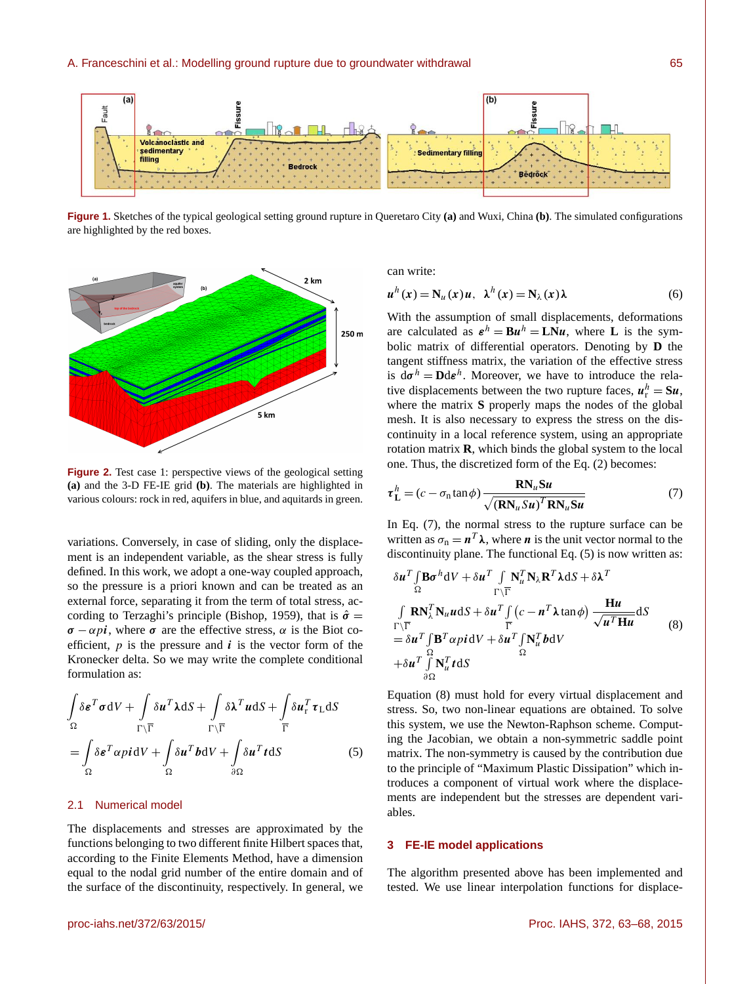

**Figure 1.** Sketches of the typical geological setting ground rupture in Queretaro City **(a)** and Wuxi, China **(b)**. The simulated configurations are highlighted by the red boxes.



**Figure 2.** Test case 1: perspective views of the geological setting **(a)** and the 3-D FE-IE grid **(b)**. The materials are highlighted in various colours: rock in red, aquifers in blue, and aquitards in green.

variations. Conversely, in case of sliding, only the displacement is an independent variable, as the shear stress is fully defined. In this work, we adopt a one-way coupled approach, so the pressure is a priori known and can be treated as an external force, separating it from the term of total stress, according to Terzaghi's principle (Bishop, 1959), that is  $\hat{\sigma} =$  $\sigma - \alpha \pi i$ , where  $\sigma$  are the effective stress,  $\alpha$  is the Biot coefficient,  $p$  is the pressure and  $\mathbf{i}$  is the vector form of the Kronecker delta. So we may write the complete conditional formulation as:

$$
\int_{\Omega} \delta \boldsymbol{\varepsilon}^{T} \boldsymbol{\sigma} dV + \int_{\Gamma \backslash \overline{\Gamma}} \delta \boldsymbol{u}^{T} \boldsymbol{\lambda} dS + \int_{\Gamma \backslash \overline{\Gamma}} \delta \boldsymbol{\lambda}^{T} \boldsymbol{u} dS + \int_{\overline{\Gamma}} \delta \boldsymbol{u}_{r}^{T} \boldsymbol{\tau}_{L} dS
$$
\n
$$
= \int_{\Omega} \delta \boldsymbol{\varepsilon}^{T} \alpha \boldsymbol{p} i dV + \int_{\Omega} \delta \boldsymbol{u}^{T} \boldsymbol{b} dV + \int_{\partial \Omega} \delta \boldsymbol{u}^{T} t dS
$$
\n(5)

#### 2.1 Numerical model

The displacements and stresses are approximated by the functions belonging to two different finite Hilbert spaces that, according to the Finite Elements Method, have a dimension equal to the nodal grid number of the entire domain and of the surface of the discontinuity, respectively. In general, we can write:

$$
u^{h}(x) = N_{u}(x)u, \ \lambda^{h}(x) = N_{\lambda}(x)\lambda
$$
 (6)

With the assumption of small displacements, deformations are calculated as  $\boldsymbol{\varepsilon}^h = \mathbf{B} \boldsymbol{u}^h = \mathbf{L} \mathbf{N} \boldsymbol{u}$ , where **L** is the symbolic matrix of differential operators. Denoting by **D** the tangent stiffness matrix, the variation of the effective stress is  $d\sigma^h = D d\varepsilon^h$ . Moreover, we have to introduce the relative displacements between the two rupture faces,  $u_r^h = S u$ , where the matrix **S** properly maps the nodes of the global mesh. It is also necessary to express the stress on the discontinuity in a local reference system, using an appropriate rotation matrix **R**, which binds the global system to the local one. Thus, the discretized form of the Eq. (2) becomes:

$$
\tau_{\mathbf{L}}^{h} = (c - \sigma_{\mathbf{n}} \tan \phi) \frac{\mathbf{R} \mathbf{N}_{u} \mathbf{S} \mathbf{u}}{\sqrt{(\mathbf{R} \mathbf{N}_{u} \mathbf{S} \mathbf{u})^{T} \mathbf{R} \mathbf{N}_{u} \mathbf{S} \mathbf{u}}}
$$
(7)

In Eq. (7), the normal stress to the rupture surface can be written as  $\sigma_n = n^T \lambda$ , where *n* is the unit vector normal to the discontinuity plane. The functional Eq. (5) is now written as:

$$
\delta u^T \int_{\Omega} \mathbf{B} \sigma^h dV + \delta u^T \int_{\Gamma \backslash \overline{\Gamma}} \mathbf{N}_u^T \mathbf{N}_\lambda \mathbf{R}^T \lambda dS + \delta \lambda^T
$$
\n
$$
\int_{\Gamma \backslash \overline{\Gamma}} \mathbf{R} \mathbf{N}_\lambda^T \mathbf{N}_u u dS + \delta u^T \int_{\overline{\Gamma}} (c - n^T \lambda \tan \phi) \frac{\mathbf{H} u}{\sqrt{u^T \mathbf{H} u}} dS
$$
\n
$$
= \delta u^T \int_{\Omega} \mathbf{B}^T \alpha p i dV + \delta u^T \int_{\Omega} \mathbf{N}_u^T b dV
$$
\n
$$
+ \delta u^T \int_{\partial \Omega} \mathbf{N}_u^T t dS
$$
\n(8)

Equation (8) must hold for every virtual displacement and stress. So, two non-linear equations are obtained. To solve this system, we use the Newton-Raphson scheme. Computing the Jacobian, we obtain a non-symmetric saddle point matrix. The non-symmetry is caused by the contribution due to the principle of "Maximum Plastic Dissipation" which introduces a component of virtual work where the displacements are independent but the stresses are dependent variables.

#### **3 FE-IE model applications**

The algorithm presented above has been implemented and tested. We use linear interpolation functions for displace-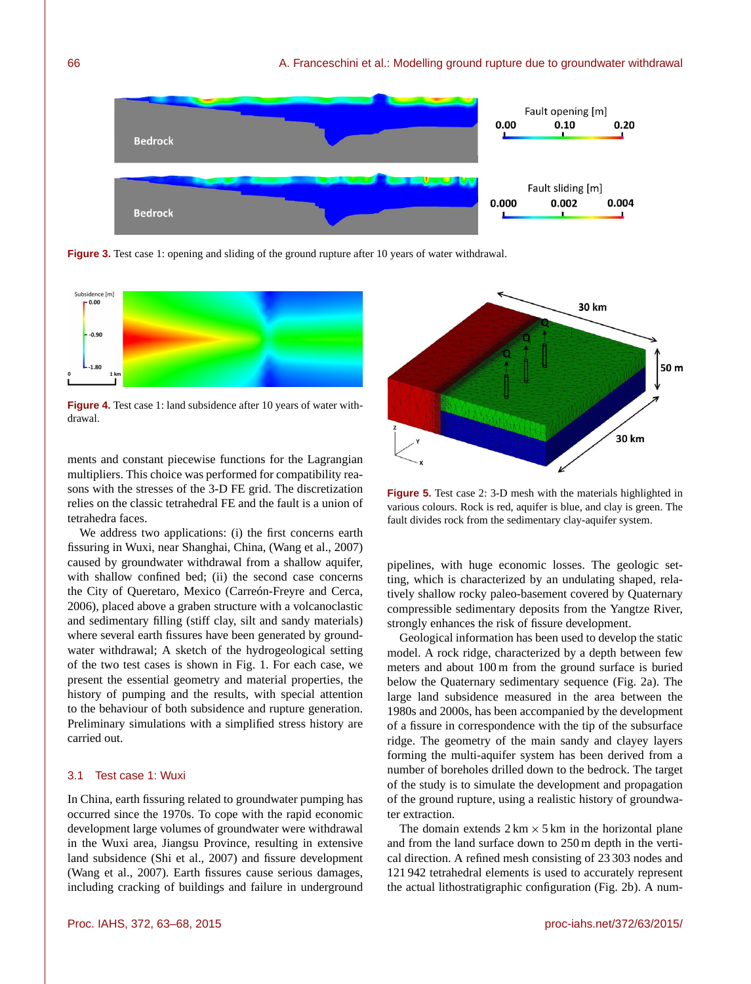

**Figure 3.** Test case 1: opening and sliding of the ground rupture after 10 years of water withdrawal.



**Figure 4.** Test case 1: land subsidence after 10 years of water withdrawal.

ments and constant piecewise functions for the Lagrangian multipliers. This choice was performed for compatibility reasons with the stresses of the 3-D FE grid. The discretization relies on the classic tetrahedral FE and the fault is a union of tetrahedra faces.

We address two applications: (i) the first concerns earth fissuring in Wuxi, near Shanghai, China, (Wang et al., 2007) caused by groundwater withdrawal from a shallow aquifer, with shallow confined bed; (ii) the second case concerns the City of Queretaro, Mexico (Carreón-Freyre and Cerca, 2006), placed above a graben structure with a volcanoclastic and sedimentary filling (stiff clay, silt and sandy materials) where several earth fissures have been generated by groundwater withdrawal; A sketch of the hydrogeological setting of the two test cases is shown in Fig. 1. For each case, we present the essential geometry and material properties, the history of pumping and the results, with special attention to the behaviour of both subsidence and rupture generation. Preliminary simulations with a simplified stress history are carried out.

#### 3.1 Test case 1: Wuxi

In China, earth fissuring related to groundwater pumping has occurred since the 1970s. To cope with the rapid economic development large volumes of groundwater were withdrawal in the Wuxi area, Jiangsu Province, resulting in extensive land subsidence (Shi et al., 2007) and fissure development (Wang et al., 2007). Earth fissures cause serious damages, including cracking of buildings and failure in underground



**Figure 5.** Test case 2: 3-D mesh with the materials highlighted in various colours. Rock is red, aquifer is blue, and clay is green. The fault divides rock from the sedimentary clay-aquifer system.

pipelines, with huge economic losses. The geologic setting, which is characterized by an undulating shaped, relatively shallow rocky paleo-basement covered by Quaternary compressible sedimentary deposits from the Yangtze River, strongly enhances the risk of fissure development.

Geological information has been used to develop the static model. A rock ridge, characterized by a depth between few meters and about 100 m from the ground surface is buried below the Quaternary sedimentary sequence (Fig. 2a). The large land subsidence measured in the area between the 1980s and 2000s, has been accompanied by the development of a fissure in correspondence with the tip of the subsurface ridge. The geometry of the main sandy and clayey layers forming the multi-aquifer system has been derived from a number of boreholes drilled down to the bedrock. The target of the study is to simulate the development and propagation of the ground rupture, using a realistic history of groundwater extraction.

The domain extends  $2 \text{ km} \times 5 \text{ km}$  in the horizontal plane and from the land surface down to 250 m depth in the vertical direction. A refined mesh consisting of 23 303 nodes and 121 942 tetrahedral elements is used to accurately represent the actual lithostratigraphic configuration (Fig. 2b). A num-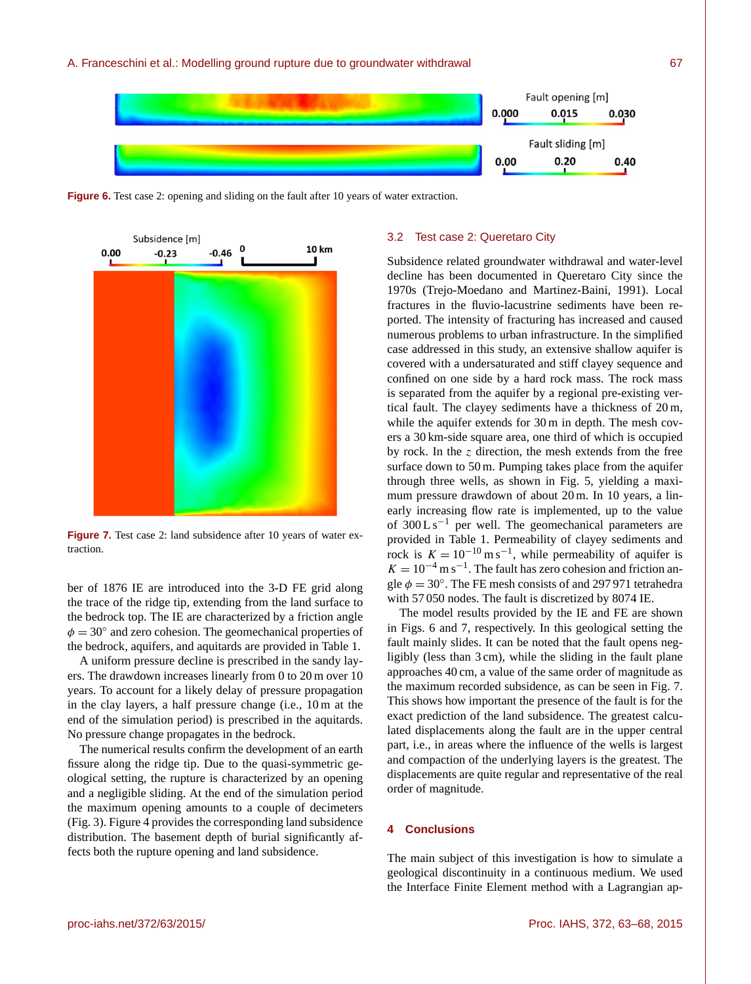

**Figure 6.** Test case 2: opening and sliding on the fault after 10 years of water extraction.



**Figure 7.** Test case 2: land subsidence after 10 years of water extraction.

ber of 1876 IE are introduced into the 3-D FE grid along the trace of the ridge tip, extending from the land surface to the bedrock top. The IE are characterized by a friction angle  $\phi = 30^\circ$  and zero cohesion. The geomechanical properties of the bedrock, aquifers, and aquitards are provided in Table 1.

A uniform pressure decline is prescribed in the sandy layers. The drawdown increases linearly from 0 to 20 m over 10 years. To account for a likely delay of pressure propagation in the clay layers, a half pressure change (i.e., 10 m at the end of the simulation period) is prescribed in the aquitards. No pressure change propagates in the bedrock.

The numerical results confirm the development of an earth fissure along the ridge tip. Due to the quasi-symmetric geological setting, the rupture is characterized by an opening and a negligible sliding. At the end of the simulation period the maximum opening amounts to a couple of decimeters (Fig. 3). Figure 4 provides the corresponding land subsidence distribution. The basement depth of burial significantly affects both the rupture opening and land subsidence.

### 3.2 Test case 2: Queretaro City

Subsidence related groundwater withdrawal and water-level decline has been documented in Queretaro City since the 1970s (Trejo-Moedano and Martinez-Baini, 1991). Local fractures in the fluvio-lacustrine sediments have been reported. The intensity of fracturing has increased and caused numerous problems to urban infrastructure. In the simplified case addressed in this study, an extensive shallow aquifer is covered with a undersaturated and stiff clayey sequence and confined on one side by a hard rock mass. The rock mass is separated from the aquifer by a regional pre-existing vertical fault. The clayey sediments have a thickness of 20 m, while the aquifer extends for 30 m in depth. The mesh covers a 30 km-side square area, one third of which is occupied by rock. In the  $\zeta$  direction, the mesh extends from the free surface down to 50 m. Pumping takes place from the aquifer through three wells, as shown in Fig. 5, yielding a maximum pressure drawdown of about 20 m. In 10 years, a linearly increasing flow rate is implemented, up to the value of  $300 \text{ L s}^{-1}$  per well. The geomechanical parameters are provided in Table 1. Permeability of clayey sediments and rock is  $K = 10^{-10}$  m s<sup>-1</sup>, while permeability of aquifer is  $K = 10^{-4}$  m s<sup>-1</sup>. The fault has zero cohesion and friction angle  $\phi = 30^\circ$ . The FE mesh consists of and 297 971 tetrahedra with 57 050 nodes. The fault is discretized by 8074 IE.

The model results provided by the IE and FE are shown in Figs. 6 and 7, respectively. In this geological setting the fault mainly slides. It can be noted that the fault opens negligibly (less than 3 cm), while the sliding in the fault plane approaches 40 cm, a value of the same order of magnitude as the maximum recorded subsidence, as can be seen in Fig. 7. This shows how important the presence of the fault is for the exact prediction of the land subsidence. The greatest calculated displacements along the fault are in the upper central part, i.e., in areas where the influence of the wells is largest and compaction of the underlying layers is the greatest. The displacements are quite regular and representative of the real order of magnitude.

### **4 Conclusions**

The main subject of this investigation is how to simulate a geological discontinuity in a continuous medium. We used the Interface Finite Element method with a Lagrangian ap-